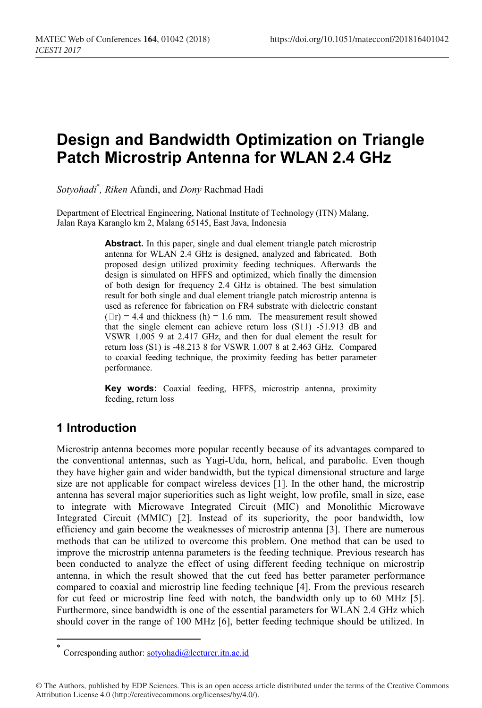# **Design and Bandwidth Optimization on Triangle Patch Microstrip Antenna for WLAN 2.4 GHz**

*Sotyohadi* \* *, Riken* Afandi, and *Dony* Rachmad Hadi

Department of Electrical Engineering, National Institute of Technology (ITN) Malang, Jalan Raya Karanglo km 2, Malang 65145, East Java, Indonesia

> Abstract. In this paper, single and dual element triangle patch microstrip antenna for WLAN 2.4 GHz is designed, analyzed and fabricated. Both proposed design utilized proximity feeding techniques. Afterwards the design is simulated on HFFS and optimized, which finally the dimension of both design for frequency 2.4 GHz is obtained. The best simulation result for both single and dual element triangle patch microstrip antenna is used as reference for fabrication on FR4 substrate with dielectric constant  $(\Box r) = 4.4$  and thickness (h) = 1.6 mm. The measurement result showed that the single element can achieve return loss (S11) -51.913 dB and VSWR 1.005 9 at 2.417 GHz, and then for dual element the result for return loss (S1) is -48.213 8 for VSWR 1.007 8 at 2.463 GHz. Compared to coaxial feeding technique, the proximity feeding has better parameter performance.

> **Key words:** Coaxial feeding, HFFS, microstrip antenna, proximity feeding, return loss

# **1 Introduction**

Microstrip antenna becomes more popular recently because of its advantages compared to the conventional antennas, such as Yagi-Uda, horn, helical, and parabolic. Even though they have higher gain and wider bandwidth, but the typical dimensional structure and large size are not applicable for compact wireless devices [1]. In the other hand, the microstrip antenna has several major superiorities such as light weight, low profile, small in size, ease to integrate with Microwave Integrated Circuit (MIC) and Monolithic Microwave Integrated Circuit (MMIC) [2]. Instead of its superiority, the poor bandwidth, low efficiency and gain become the weaknesses of microstrip antenna [3]. There are numerous methods that can be utilized to overcome this problem. One method that can be used to improve the microstrip antenna parameters is the feeding technique. Previous research has been conducted to analyze the effect of using different feeding technique on microstrip antenna, in which the result showed that the cut feed has better parameter performance compared to coaxial and microstrip line feeding technique [4]. From the previous research for cut feed or microstrip line feed with notch, the bandwidth only up to 60 MHz [5]. Furthermore, since bandwidth is one of the essential parameters for WLAN 2.4 GHz which should cover in the range of 100 MHz [6], better feeding technique should be utilized. In

Corresponding author: sotyohadi@lecturer.itn.ac.id

<sup>©</sup> The Authors, published by EDP Sciences. This is an open access article distributed under the terms of the Creative Commons Attribution License 4.0 (http://creativecommons.org/licenses/by/4.0/).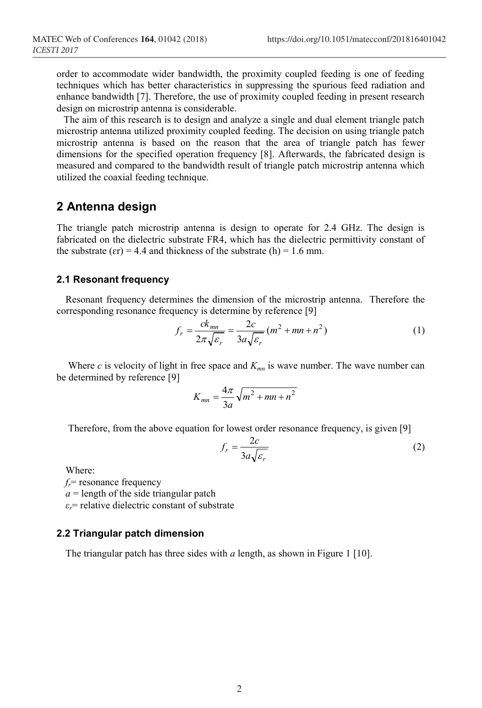order to accommodate wider bandwidth, the proximity coupled feeding is one of feeding techniques which has better characteristics in suppressing the spurious feed radiation and enhance bandwidth [7]. Therefore, the use of proximity coupled feeding in present research design on microstrip antenna is considerable.

The aim of this research is to design and analyze a single and dual element triangle patch microstrip antenna utilized proximity coupled feeding. The decision on using triangle patch microstrip antenna is based on the reason that the area of triangle patch has fewer dimensions for the specified operation frequency [8]. Afterwards, the fabricated design is measured and compared to the bandwidth result of triangle patch microstrip antenna which utilized the coaxial feeding technique.

# **2 Antenna design**

The triangle patch microstrip antenna is design to operate for 2.4 GHz. The design is fabricated on the dielectric substrate FR4, which has the dielectric permittivity constant of the substrate ( $\varepsilon$ r) = 4.4 and thickness of the substrate (h) = 1.6 mm.

#### **2.1 Resonant frequency**

Resonant frequency determines the dimension of the microstrip antenna. Therefore the corresponding resonance frequency is determine by reference [9]

$$
f_r = \frac{ck_{mn}}{2\pi\sqrt{\varepsilon_r}} = \frac{2c}{3a\sqrt{\varepsilon_r}}(m^2 + mn + n^2)
$$
 (1)

Where  $c$  is velocity of light in free space and  $K_{mn}$  is wave number. The wave number can be determined by reference [9]

$$
K_{mn} = \frac{4\pi}{3a} \sqrt{m^2 + mn + n^2}
$$

Therefore, from the above equation for lowest order resonance frequency, is given [9]

$$
f_r = \frac{2c}{3a\sqrt{\varepsilon_r}}\tag{2}
$$

Where:

 $f_r$ = resonance frequency

 $a =$  length of the side triangular patch

*εr*= relative dielectric constant of substrate

#### **2.2 Triangular patch dimension**

The triangular patch has three sides with *a* length, as shown in Figure 1 [10].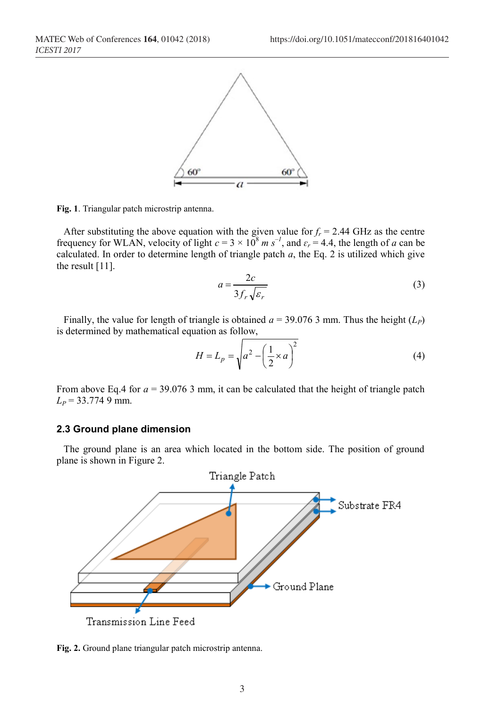

**Fig. 1**. Triangular patch microstrip antenna.

After substituting the above equation with the given value for  $f_r = 2.44$  GHz as the centre frequency for WLAN, velocity of light  $c = 3 \times 10^8$  *m*  $s^{-1}$ , and  $\varepsilon_r = 4.4$ , the length of *a* can be calculated. In order to determine length of triangle patch *a*, the Eq. 2 is utilized which give the result [11].

$$
a = \frac{2c}{3f_r\sqrt{\varepsilon_r}}\tag{3}
$$

Finally, the value for length of triangle is obtained  $a = 39.076$  3 mm. Thus the height ( $L_p$ ) is determined by mathematical equation as follow,

$$
H = L_p = \sqrt{a^2 - \left(\frac{1}{2} \times a\right)^2} \tag{4}
$$

From above Eq.4 for  $a = 39.076$  3 mm, it can be calculated that the height of triangle patch  $L_p$  = 33.774 9 mm.

#### **2.3 Ground plane dimension**

The ground plane is an area which located in the bottom side. The position of ground plane is shown in Figure 2.



**Fig. 2.** Ground plane triangular patch microstrip antenna.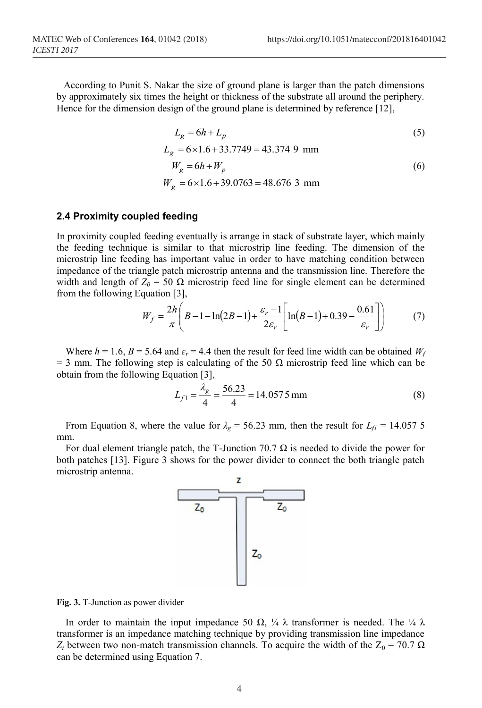According to Punit S. Nakar the size of ground plane is larger than the patch dimensions by approximately six times the height or thickness of the substrate all around the periphery. Hence for the dimension design of the ground plane is determined by reference [12],

$$
L_g = 6h + L_p \tag{5}
$$

$$
L_g = 6 \times 1.6 + 33.7749 = 43.3749 \text{ mm}
$$
  
\n
$$
W_g = 6h + W_p
$$
  
\n
$$
W_g = 6 \times 1.6 + 39.0763 = 48.6763 \text{ mm}
$$
 (6)

#### **2.4 Proximity coupled feeding**

In proximity coupled feeding eventually is arrange in stack of substrate layer, which mainly the feeding technique is similar to that microstrip line feeding. The dimension of the microstrip line feeding has important value in order to have matching condition between impedance of the triangle patch microstrip antenna and the transmission line. Therefore the width and length of  $Z_0 = 50 \Omega$  microstrip feed line for single element can be determined from the following Equation [3],

$$
W_f = \frac{2h}{\pi} \left( B - 1 - \ln(2B - 1) + \frac{\varepsilon_r - 1}{2\varepsilon_r} \left[ \ln(B - 1) + 0.39 - \frac{0.61}{\varepsilon_r} \right] \right) \tag{7}
$$

Where  $h = 1.6$ ,  $B = 5.64$  and  $\varepsilon_r = 4.4$  then the result for feed line width can be obtained  $W_f$ = 3 mm. The following step is calculating of the 50  $\Omega$  microstrip feed line which can be obtain from the following Equation [3],

$$
L_{f1} = \frac{\lambda_g}{4} = \frac{56.23}{4} = 14.0575 \text{ mm}
$$
 (8)

From Equation 8, where the value for  $\lambda_g = 56.23$  mm, then the result for  $L_f = 14.057$  5 mm.

For dual element triangle patch, the T-Junction 70.7  $\Omega$  is needed to divide the power for both patches [13]. Figure 3 shows for the power divider to connect the both triangle patch microstrip antenna.



**Fig. 3.** T-Junction as power divider

In order to maintain the input impedance 50  $\Omega$ , ¼  $\lambda$  transformer is needed. The ¼  $\lambda$ transformer is an impedance matching technique by providing transmission line impedance *Z<sub>t</sub>* between two non-match transmission channels. To acquire the width of the  $Z_0 = 70.7$  Ω can be determined using Equation 7.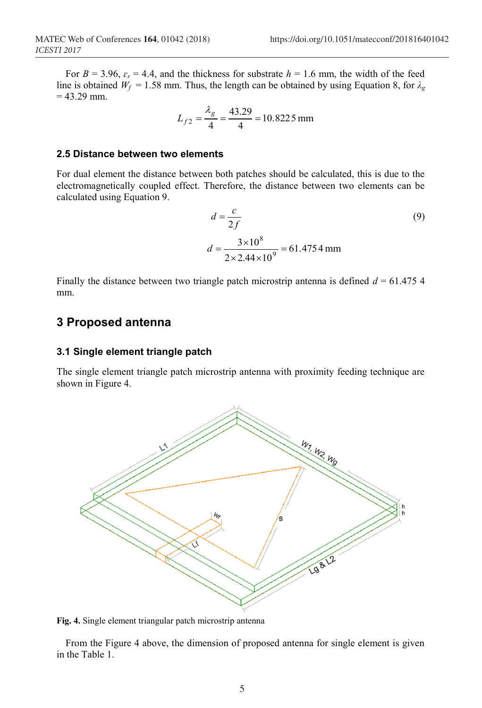$$
L_{f2} = \frac{\lambda_g}{4} = \frac{43.29}{4} = 10.8225 \text{ mm}
$$

#### **2.5 Distance between two elements**

For dual element the distance between both patches should be calculated, this is due to the electromagnetically coupled effect. Therefore, the distance between two elements can be calculated using Equation 9.

$$
d = \frac{c}{2f}
$$
(9)  

$$
d = \frac{3 \times 10^8}{2 \times 2.44 \times 10^9} = 61.4754 \text{ mm}
$$

Finally the distance between two triangle patch microstrip antenna is defined  $d = 61.475$  4 mm.

### **3 Proposed antenna**

#### **3.1 Single element triangle patch**

The single element triangle patch microstrip antenna with proximity feeding technique are shown in Figure 4.



**Fig. 4.** Single element triangular patch microstrip antenna

From the Figure 4 above, the dimension of proposed antenna for single element is given in the Table 1.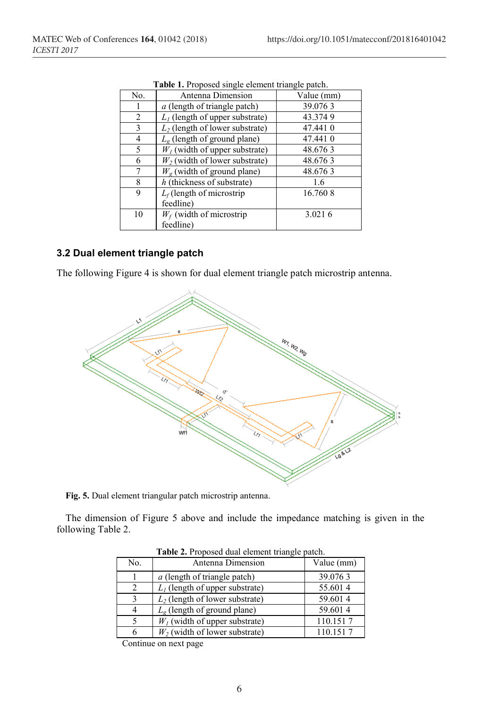| <b>rapic 1.</b> I reposed single element triangle paten. |                                      |            |  |  |  |
|----------------------------------------------------------|--------------------------------------|------------|--|--|--|
| No.                                                      | Antenna Dimension                    | Value (mm) |  |  |  |
| 1                                                        | <i>a</i> (length of triangle patch)  | 39.0763    |  |  |  |
| 2                                                        | $L_1$ (length of upper substrate)    | 43.3749    |  |  |  |
| 3                                                        | $L_2$ (length of lower substrate)    | 47.441 0   |  |  |  |
| $\overline{4}$                                           | $L_g$ (length of ground plane)       | 47.441 0   |  |  |  |
| 5                                                        | $W1$ (width of upper substrate)      | 48.6763    |  |  |  |
| 6                                                        | $W_2$ (width of lower substrate)     | 48.6763    |  |  |  |
| 7                                                        | $W_{\sigma}$ (width of ground plane) | 48.6763    |  |  |  |
| 8                                                        | $h$ (thickness of substrate)         | 1.6        |  |  |  |
| 9                                                        | $L_f$ (length of microstrip          | 16.7608    |  |  |  |
|                                                          | feedline)                            |            |  |  |  |
| 10                                                       | $W_f$ (width of microstrip           | 3.0216     |  |  |  |
|                                                          | feedline)                            |            |  |  |  |

**Table 1.** Proposed single element triangle patch.

## **3.2 Dual element triangle patch**

The following Figure 4 is shown for dual element triangle patch microstrip antenna.



**Fig. 5.** Dual element triangular patch microstrip antenna.

The dimension of Figure 5 above and include the impedance matching is given in the following Table 2.

| No.                         | Antenna Dimension                    | Value (mm) |
|-----------------------------|--------------------------------------|------------|
|                             | <i>a</i> (length of triangle patch)  | 39.0763    |
| $\mathcal{D}_{\mathcal{A}}$ | $L_1$ (length of upper substrate)    | 55.6014    |
| κ                           | $L_2$ (length of lower substrate)    | 59.6014    |
| 4                           | $L_{\rm g}$ (length of ground plane) | 59.6014    |
|                             | $W1$ (width of upper substrate)      | 110.1517   |
|                             | $W_2$ (width of lower substrate)     | 110.1517   |

**Table 2.** Proposed dual element triangle patch.

Continue on next page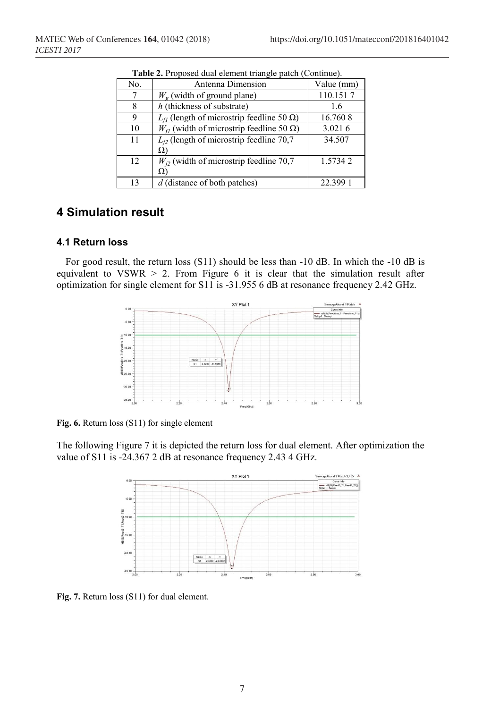| No. | Antenna Dimension                                     | Value (mm) |
|-----|-------------------------------------------------------|------------|
| 7   | $W_{\varphi}$ (width of ground plane)                 | 110.1517   |
| 8   | h (thickness of substrate)                            | 1.6        |
| 9   | $L_{fI}$ (length of microstrip feedline 50 $\Omega$ ) | 16.760 8   |
| 10  | $W_{f1}$ (width of microstrip feedline 50 $\Omega$ )  | 3.0216     |
| 11  | $L_{f2}$ (length of microstrip feedline 70,7          | 34.507     |
|     | Ω                                                     |            |
| 12  | $W_{f2}$ (width of microstrip feedline 70,7           | 1.57342    |
|     | Ω                                                     |            |
| 13  | d (distance of both patches)                          | 22.399     |

**Table 2.** Proposed dual element triangle patch (Continue).

# **4 Simulation result**

#### **4.1 Return loss**

For good result, the return loss (S11) should be less than -10 dB. In which the -10 dB is equivalent to  $VSWR > 2$ . From Figure 6 it is clear that the simulation result after optimization for single element for S11 is -31.955 6 dB at resonance frequency 2.42 GHz.



**Fig. 6.** Return loss (S11) for single element

The following Figure 7 it is depicted the return loss for dual element. After optimization the value of S11 is -24.367 2 dB at resonance frequency 2.43 4 GHz.



**Fig. 7.** Return loss (S11) for dual element.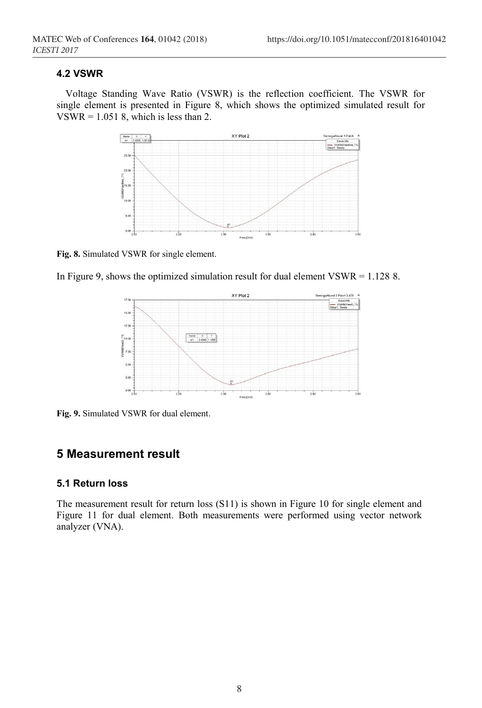#### **4.2 VSWR**

Voltage Standing Wave Ratio (VSWR) is the reflection coefficient. The VSWR for single element is presented in Figure 8, which shows the optimized simulated result for  $VSWR = 1.0518$ , which is less than 2.



**Fig. 8.** Simulated VSWR for single element.





**Fig. 9.** Simulated VSWR for dual element.

### **5 Measurement result**

#### **5.1 Return loss**

The measurement result for return loss (S11) is shown in Figure 10 for single element and Figure 11 for dual element. Both measurements were performed using vector network analyzer (VNA).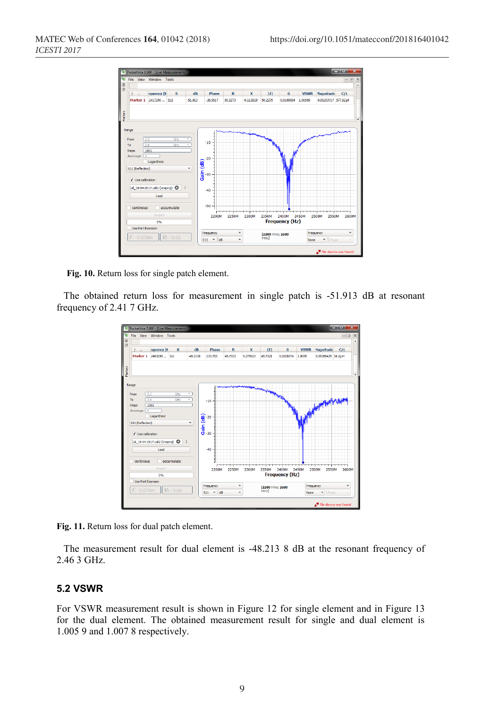

**Fig. 10.** Return loss for single patch element.

The obtained return loss for measurement in single patch is -51.913 dB at resonant frequency of 2.41 7 GHz.



**Fig. 11.** Return loss for dual patch element.

The measurement result for dual element is -48.213 8 dB at the resonant frequency of 2.46 3 GHz.

#### **5.2 VSWR**

For VSWR measurement result is shown in Figure 12 for single element and in Figure 13 for the dual element. The obtained measurement result for single and dual element is 1.005 9 and 1.007 8 respectively.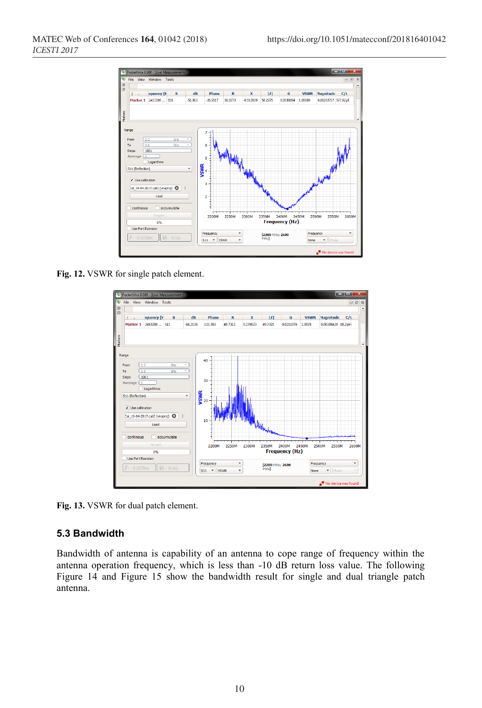

**Fig. 12.** VSWR for single patch element.



**Fig. 13.** VSWR for dual patch element.

#### **5.3 Bandwidth**

Bandwidth of antenna is capability of an antenna to cope range of frequency within the antenna operation frequency, which is less than -10 dB return loss value. The following Figure 14 and Figure 15 show the bandwidth result for single and dual triangle patch antenna.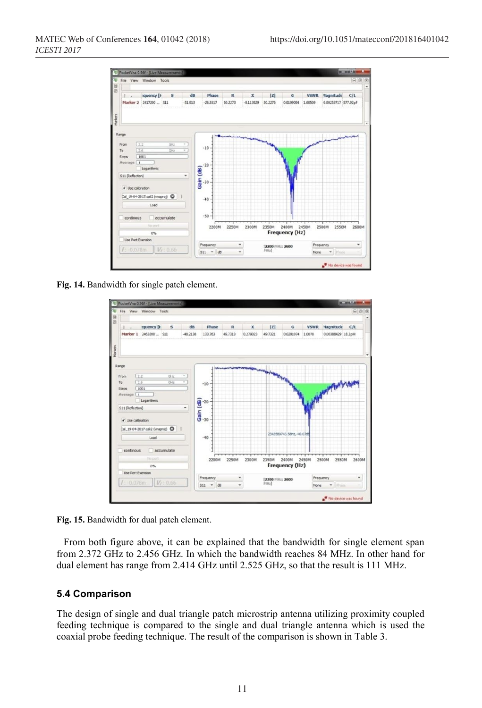

**Fig. 14.** Bandwidth for single patch element.



**Fig. 15.** Bandwidth for dual patch element.

From both figure above, it can be explained that the bandwidth for single element span from 2.372 GHz to 2.456 GHz. In which the bandwidth reaches 84 MHz. In other hand for dual element has range from 2.414 GHz until 2.525 GHz, so that the result is 111 MHz.

#### **5.4 Comparison**

The design of single and dual triangle patch microstrip antenna utilizing proximity coupled feeding technique is compared to the single and dual triangle antenna which is used the coaxial probe feeding technique. The result of the comparison is shown in Table 3.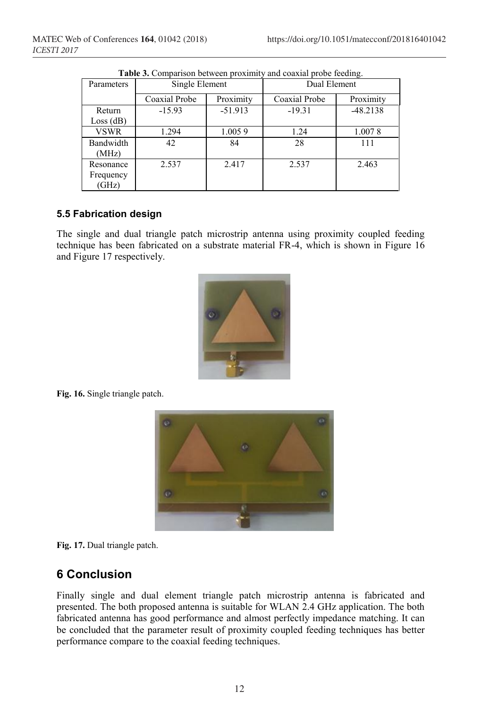| Parameters                      | Single Element |           | Dual Element  |            |  |  |
|---------------------------------|----------------|-----------|---------------|------------|--|--|
|                                 | Coaxial Probe  | Proximity | Coaxial Probe | Proximity  |  |  |
| Return<br>Loss(dB)              | $-15.93$       | $-51.913$ | $-19.31$      | $-48.2138$ |  |  |
| <b>VSWR</b>                     | 1.294          | 1.0059    | 1.24          | 1.0078     |  |  |
| Bandwidth<br>(MHz)              | 42             | 84        | 28            | 111        |  |  |
| Resonance<br>Frequency<br>(GHz) | 2.537          | 2.417     | 2.537         | 2.463      |  |  |

**Table 3.** Comparison between proximity and coaxial probe feeding.

#### **5.5 Fabrication design**

The single and dual triangle patch microstrip antenna using proximity coupled feeding technique has been fabricated on a substrate material FR-4, which is shown in Figure 16 and Figure 17 respectively.



**Fig. 16.** Single triangle patch.





# **6 Conclusion**

Finally single and dual element triangle patch microstrip antenna is fabricated and presented. The both proposed antenna is suitable for WLAN 2.4 GHz application. The both fabricated antenna has good performance and almost perfectly impedance matching. It can be concluded that the parameter result of proximity coupled feeding techniques has better performance compare to the coaxial feeding techniques.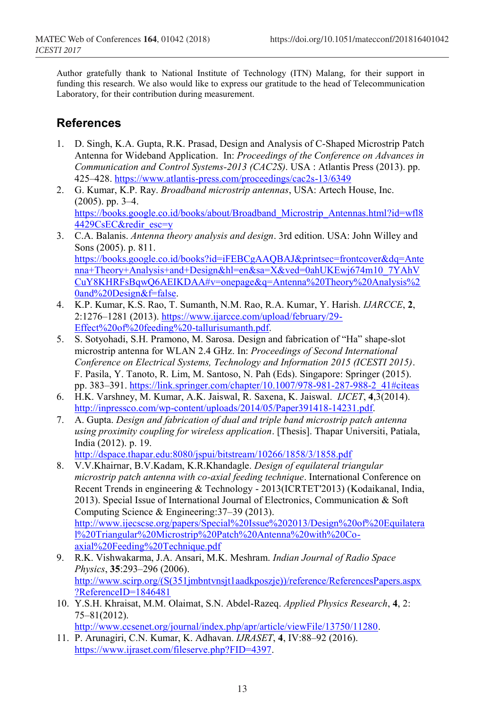Author gratefully thank to National Institute of Technology (ITN) Malang, for their support in funding this research. We also would like to express our gratitude to the head of Telecommunication Laboratory, for their contribution during measurement.

# **References**

- 1. D. Singh, K.A. Gupta, R.K. Prasad, Design and Analysis of C-Shaped Microstrip Patch Antenna for Wideband Application. In: *Proceedings of the Conference on Advances in Communication and Control Systems-2013 (CAC2S)*. USA : Atlantis Press (2013). pp. 425–428. https://www.atlantis-press.com/proceedings/cac2s-13/6349
- 2. G. Kumar, K.P. Ray. *Broadband microstrip antennas*, USA: Artech House, Inc. (2005). pp. 3–4. https://books.google.co.id/books/about/Broadband\_Microstrip\_Antennas.html?id=wfl8 4429CsEC&redir\_esc=y
- 3. C.A. Balanis. *Antenna theory analysis and design*. 3rd edition. USA: John Willey and Sons (2005). p. 811. https://books.google.co.id/books?id=iFEBCgAAQBAJ&printsec=frontcover&dq=Ante nna+Theory+Analysis+and+Design&hl=en&sa=X&ved=0ahUKEwj674m10\_7YAhV CuY8KHRFsBqwQ6AEIKDAA#v=onepage&q=Antenna%20Theory%20Analysis%2 0and%20Design&f=false.
- 4. K.P. Kumar, K.S. Rao, T. Sumanth, N.M. Rao, R.A. Kumar, Y. Harish. *IJARCCE*, **2**, 2:1276–1281 (2013). https://www.ijarcce.com/upload/february/29- Effect%20of%20feeding%20-tallurisumanth.pdf.
- 5. S. Sotyohadi, S.H. Pramono, M. Sarosa. Design and fabrication of "Ha" shape-slot microstrip antenna for WLAN 2.4 GHz. In: *Proceedings of Second International Conference on Electrical Systems, Technology and Information 2015 (ICESTI 2015)*. F. Pasila, Y. Tanoto, R. Lim, M. Santoso, N. Pah (Eds). Singapore: Springer (2015). pp. 383–391. https://link.springer.com/chapter/10.1007/978-981-287-988-2\_41#citeas
- 6. H.K. Varshney, M. Kumar, A.K. Jaiswal, R. Saxena, K. Jaiswal. *IJCET*, **4**,3(2014). http://inpressco.com/wp-content/uploads/2014/05/Paper391418-14231.pdf.
- 7. A. Gupta. *Design and fabrication of dual and triple band microstrip patch antenna using proximity coupling for wireless application*. [Thesis]. Thapar Universiti, Patiala, India (2012). p. 19.

http://dspace.thapar.edu:8080/jspui/bitstream/10266/1858/3/1858.pdf

- 8. V.V.Khairnar, B.V.Kadam, K.R.Khandagle. *Design of equilateral triangular microstrip patch antenna with co-axial feeding technique*. International Conference on Recent Trends in engineering & Technology - 2013(ICRTET'2013) (Kodaikanal, India, 2013). Special Issue of International Journal of Electronics, Communication & Soft Computing Science & Engineering:37–39 (2013). http://www.ijecscse.org/papers/Special%20Issue%202013/Design%20of%20Equilatera l%20Triangular%20Microstrip%20Patch%20Antenna%20with%20Coaxial%20Feeding%20Technique.pdf
- 9. R.K. Vishwakarma, J.A. Ansari, M.K. Meshram. *Indian Journal of Radio Space Physics*, **35**:293–296 (2006). http://www.scirp.org/(S(351jmbntvnsjt1aadkposzje))/reference/ReferencesPapers.aspx ?ReferenceID=1846481
- 10. Y.S.H. Khraisat, M.M. Olaimat, S.N. Abdel-Razeq. *Applied Physics Research*, **4**, 2: 75–81(2012).

http://www.ccsenet.org/journal/index.php/apr/article/viewFile/13750/11280.

11. P. Arunagiri, C.N. Kumar, K. Adhavan. *IJRASET*, **4**, IV:88–92 (2016). https://www.ijraset.com/fileserve.php?FID=4397.